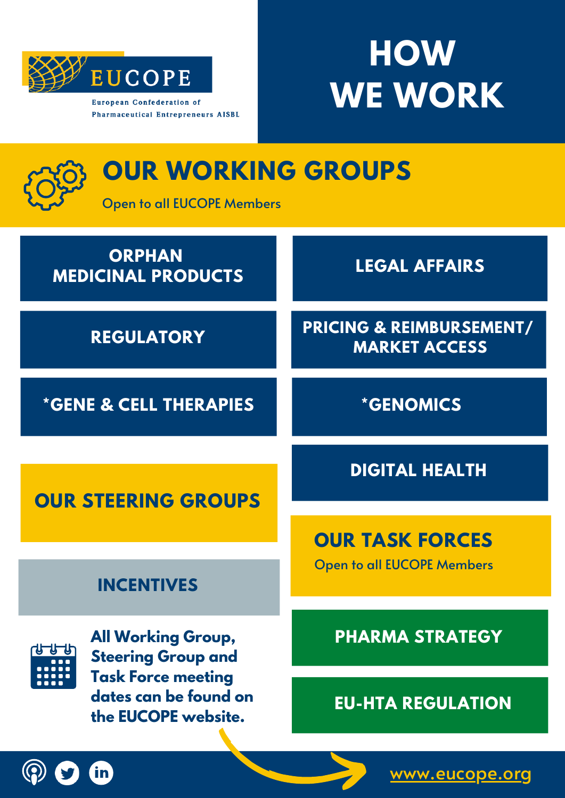

**Pharmaceutical Entrepreneurs AISBL** 

**HOW WE WORK**

| <b>OUR WORKING GROUPS</b><br><b>Open to all EUCOPE Members</b>                                                                      |                                                             |
|-------------------------------------------------------------------------------------------------------------------------------------|-------------------------------------------------------------|
| <b>ORPHAN</b><br><b>MEDICINAL PRODUCTS</b>                                                                                          | <b>LEGAL AFFAIRS</b>                                        |
| <b>REGULATORY</b>                                                                                                                   | <b>PRICING &amp; REIMBURSEMENT/</b><br><b>MARKET ACCESS</b> |
| <b>*GENE &amp; CELL THERAPIES</b>                                                                                                   | <i><b>*GENOMICS</b></i>                                     |
|                                                                                                                                     | <b>DIGITAL HEALTH</b>                                       |
| <b>OUR STEERING GROUPS</b>                                                                                                          |                                                             |
|                                                                                                                                     | <b>OUR TASK FORCES</b>                                      |
| <b>INCENTIVES</b>                                                                                                                   | <b>Open to all EUCOPE Members</b>                           |
| <b>All Working Group,</b><br><b>Steering Group and</b><br><b>Task Force meeting</b><br>dates can be found on<br>the EUCOPE website. | <b>PHARMA STRATEGY</b>                                      |
|                                                                                                                                     |                                                             |
|                                                                                                                                     | <b>EU-HTA REGULATION</b>                                    |



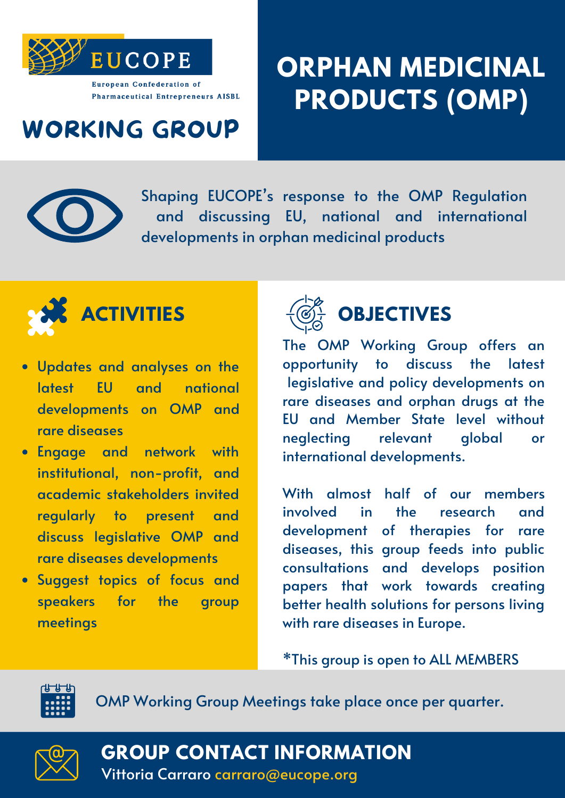

## **ORPHAN MEDICINAL PRODUCTS (OMP)**

#### WORKING GROUP



Shaping EUCOPE' s response to the OMP Regulation and discussing EU, national and international developments in orphan medicinal products



- Updates and analyses on the latest EU and national developments on OMP and rare diseases
- Engage and network with institutional, non-profit, and academic stakeholders invited regularly to present and discuss legislative OMP and rare diseases developments
- Suggest topics of focus and speakers for the group meetings



The OMP Working Group offers an opportunity to discuss the latest legislative and policy developments on rare diseases and orphan drugs at the EU and Member State level without neglecting relevant global or international developments.

With almost half of our members involved in the research and development of therapies for rare diseases, this group feeds into public consultations and develops position papers that work towards creating better health solutions for persons living with rare diseases in Europe.

\*This group is open to ALL MEMBERS



OMP Working Group Meetings take place once per quarter.



**GROUP CONTACT INFORMATION**

Vittoria Carraro carraro@eucope.org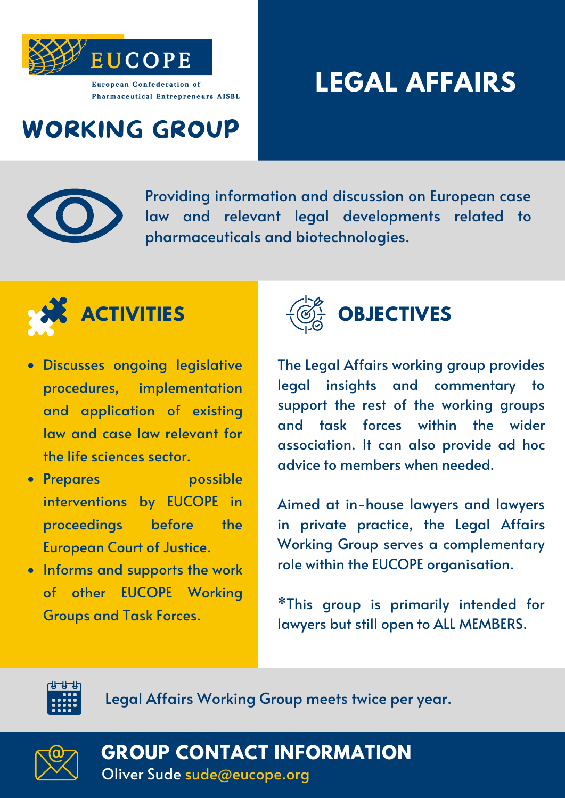

## **LEGAL AFFAIRS**

### WORKING GROUP



Providing information and discussion on European case law and relevant legal developments related to pharmaceuticals and biotechnologies.



- Discusses ongoing legislative procedures, implementation and application of existing law and case law relevant for the life sciences sector.
- Prepares possible interventions by EUCOPE in proceedings before the European Court of Justice.
- Informs and supports the work of other EUCOPE Working Groups and Task Forces.



The Legal Affairs working group provides legal insights and commentary to support the rest of the working groups and task forces within the wider association. It can also provide ad hoc advice to members when needed.

Aimed at in-house lawyers and lawyers in private practice, the Legal Affairs Working Group serves a complementary role within the EUCOPE organisation.

\*This group is primarily intended for lawyers but still open to ALL MEMBERS.



Legal Affairs Working Group meets twice per year.



Oliver Sude sude@eucope.org **GROUP CONTACT INFORMATION**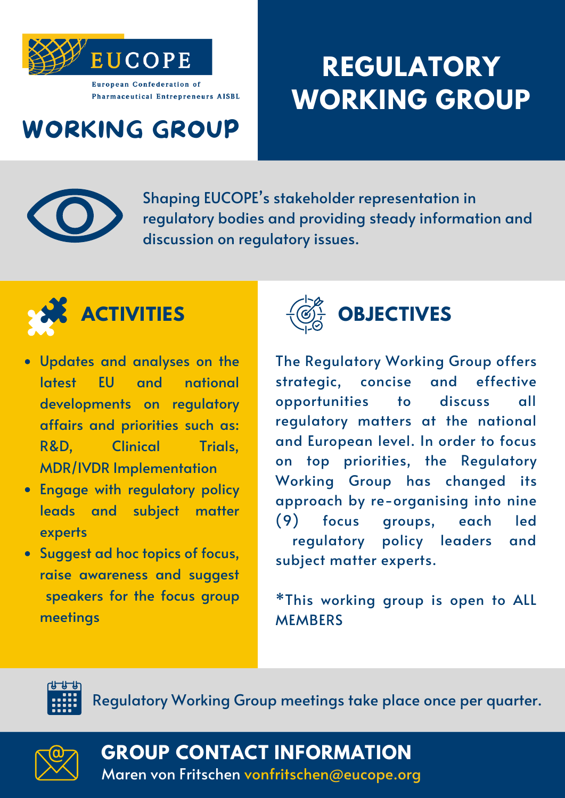

## **REGULATORY WORKING GROUP**

### WORKING GROUP



Shaping EUCOPE' s stakeholder representation in regulatory bodies and providing steady information and discussion on regulatory issues.



- Updates and analyses on the latest EU and national developments on regulatory affairs and priorities such as: R&D, Clinical Trials, MDR/IVDR Implementation
- Engage with regulatory policy leads and subject matter experts
- Suggest ad hoc topics of focus, raise awareness and suggest speakers for the focus group meetings



The Regulatory Working Group offers strategic, concise and effective opportunities to discuss all regulatory matters at the national and European level. In order to focus on top priorities, the Regulatory Working Group has changed its approach by re-organising into nine (9) focus groups, each led regulatory policy leaders and subject matter experts.

\*This working group is open to ALL **MEMBERS** 



Regulatory Working Group meetings take place once per quarter.



**GROUP CONTACT INFORMATION**

Maren von Fritschen vonfritschen@eucope.org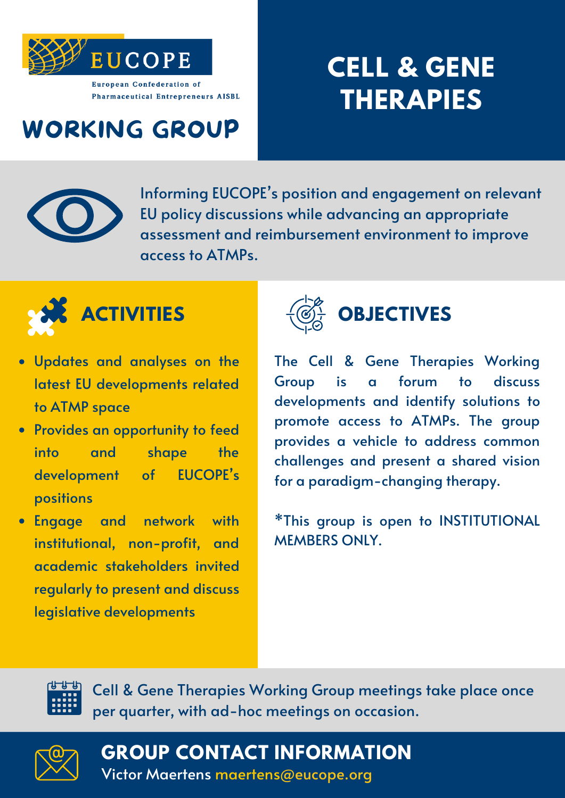

## **CELL & GENE THERAPIES**

## WORKING GROUP



Informing EUCOPE' s position and engagement on relevant EU policy discussions while advancing an appropriate assessment and reimbursement environment to improve access to ATMPs.



- Updates and analyses on the latest EU developments related to ATMP space
- Provides an opportunity to feed into and shape the development of EUCOPE's positions
- Engage and network with institutional, non-profit, and academic stakeholders invited regularly to present and discuss legislative developments



#### **ACTIVITIES**  $\left(\overline{\mathcal{O}}\right)$  **OBJECTIVES**

The Cell & Gene Therapies Working Group is a forum to discuss developments and identify solutions to promote access to ATMPs. The group provides a vehicle to address common challenges and present a shared vision for a paradigm-changing therapy.

\*This group is open to INSTITUTIONAL MEMBERS ONLY.

Cell & Gene Therapies Working Group meetings take place once per quarter, with ad-hoc meetings on occasion.



**GROUP CONTACT INFORMATION**

Victor Maertens maertens@eucope.org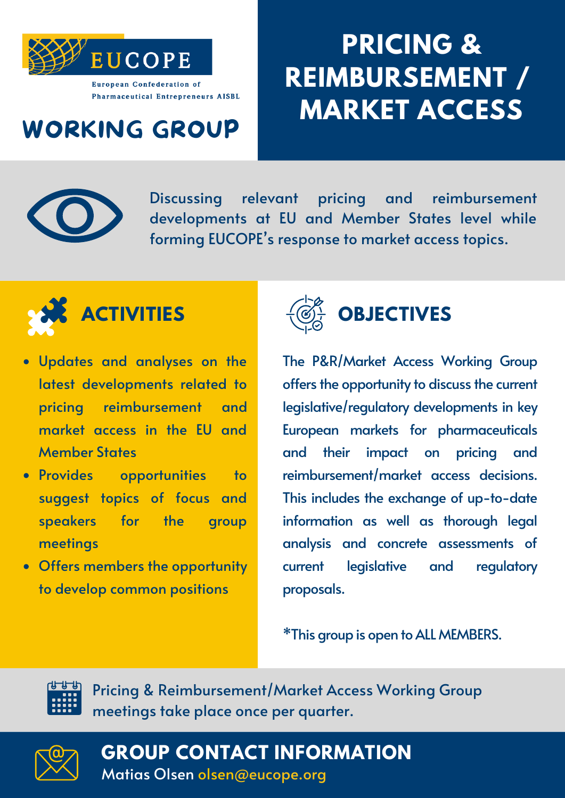

## **PRICING & REIMBURSEMENT / MARKET ACCESS**

#### WORKING GROUP



Discussing relevant pricing and reimbursement developments at EU and Member States level while forming EUCOPE' s response to market access topics.



- Updates and analyses on the latest developments related to pricing reimbursement and market access in the EU and Member States
- Provides opportunities to suggest topics of focus and speakers for the group meetings
- Offers members the opportunity to develop common positions



#### **ACTIVITIES**  $\left\{\overline{\mathbb{Q}}\right\}$  **OBJECTIVES**

The P&R/Market Access Working Group offers the opportunity to discuss the current legislative/regulatory developments in key European markets for pharmaceuticals and their impact on pricing and reimbursement/market access decisions. This includes the exchange of up-to-date information as well as thorough legal analysis and concrete assessments of current legislative and regulatory proposals.

\*This group is open toALL MEMBERS.



Pricing & Reimbursement/Market Access Working Group meetings take place once per quarter.



Matias Olsen olsen@eucope.org **GROUP CONTACT INFORMATION**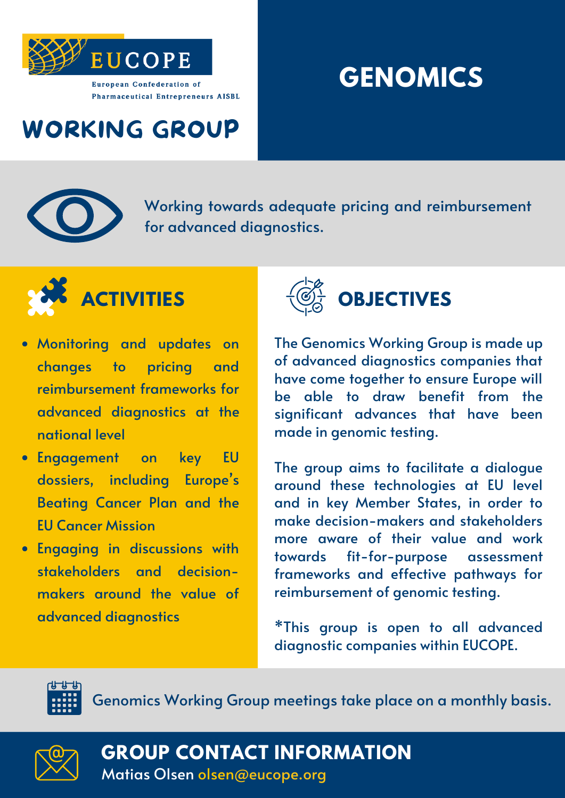

## **GENOMICS**

## WORKING GROUP



Working towards adequate pricing and reimbursement for advanced diagnostics.



- Monitoring and updates on changes to pricing and reimbursement frameworks for advanced diagnostics at the national level
- Engagement on key EU dossiers, including Europe ' s Beating Cancer Plan and the EU Cancer Mission
- Engaging in discussions with stakeholders and decisionmakers around the value of advanced diagnostics



The Genomics Working Group is made up of advanced diagnostics companies that have come together to ensure Europe will be able to draw benefit from the significant advances that have been made in genomic testing.

The group aims to facilitate a dialogue around these technologies at EU level and in key Member States, in order to make decision-makers and stakeholders more aware of their value and work towards fit-for-purpose assessment frameworks and effective pathways for reimbursement of genomic testing.

\*This group is open to all advanced diagnostic companies within EUCOPE.



Genomics Working Group meetings take place on a monthly basis.



**GROUP CONTACT INFORMATION**

Matias Olsen olsen@eucope.org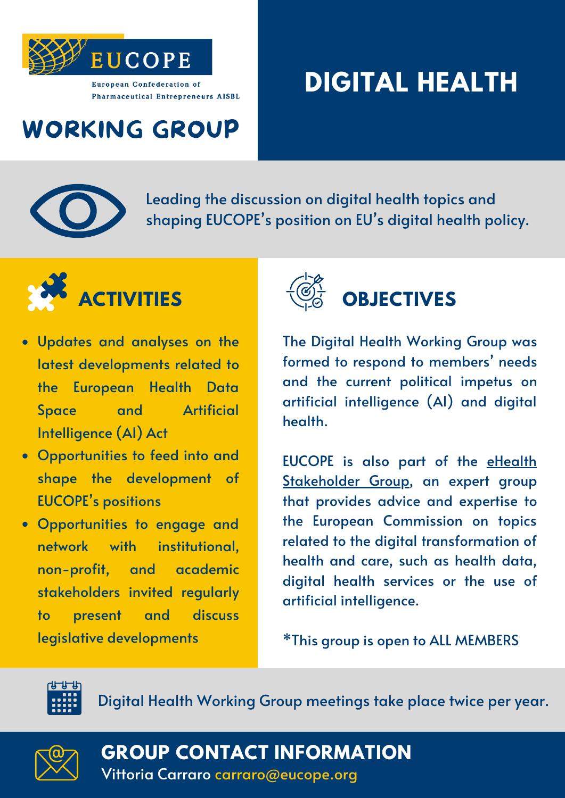

## **DIGITAL HEALTH**

## WORKING GROUP



Leading the discussion on digital health topics and shaping EUCOPE' s position on EU' s digital health policy.



- Updates and analyses on the latest developments related to the European Health Data Space and Artificial Intelligence (AI) Act
- Opportunities to feed into and shape the development of EUCOPE' s positions
- Opportunities to engage and network with institutional, non-profit, and academic stakeholders invited regularly to present and discuss legislative developments



The Digital Health Working Group was formed to respond to members ' needs and the current political impetus on artificial intelligence (AI) and digital health.

EUCOPE is also part of the eHealth [Stakeholder](https://digital-strategy.ec.europa.eu/en/policies/ehealth-experts) Group, an expert group that provides advice and expertise to the European Commission on topics related to the digital transformation of health and care, such as health data, digital health services or the use of artificial intelligence.

\*This group is open to ALL MEMBERS



Digital Health Working Group meetings take place twice per year.



**GROUP CONTACT INFORMATION**

Vittoria Carraro carraro@eucope.org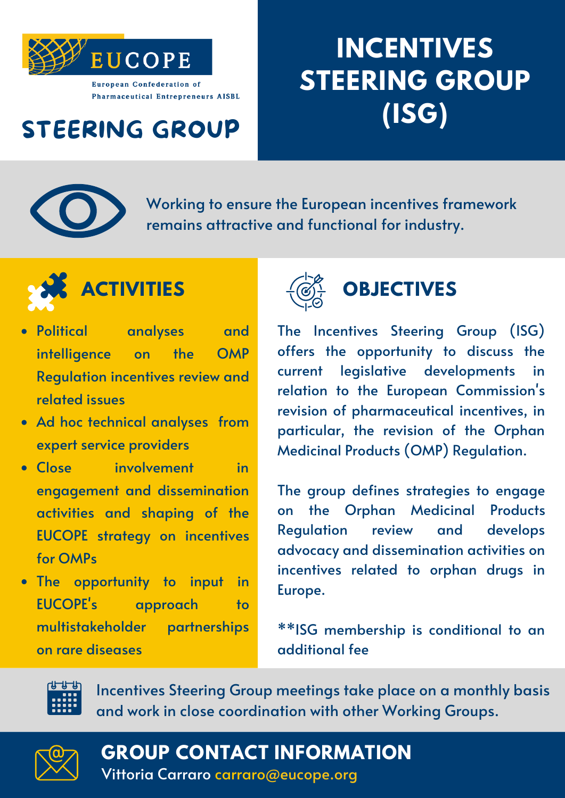

# **INCENTIVES STEERING GROUP (ISG)**

## STEERING GROUP



Working to ensure the European incentives framework remains attractive and functional for industry.



- Political analyses and intelligence on the OMP Regulation incentives review and related issues
- Ad hoc technical analyses from expert service providers
- Close involvement in engagement and dissemination activities and shaping of the EUCOPE strategy on incentives for OMPs
- The opportunity to input in EUCOPE's approach to multistakeholder partnerships on rare diseases



The Incentives Steering Group (ISG) offers the opportunity to discuss the current legislative developments in relation to the European Commission's revision of pharmaceutical incentives, in particular, the revision of the Orphan Medicinal Products (OMP) Regulation.

The group defines strategies to engage on the Orphan Medicinal Products Regulation review and develops advocacy and dissemination activities on incentives related to orphan drugs in Europe.

\*\*ISG membership is conditional to an additional fee



Incentives Steering Group meetings take place on a monthly basis and work in close coordination with other Working Groups.



**GROUP CONTACT INFORMATION**

Vittoria Carraro carraro@eucope.org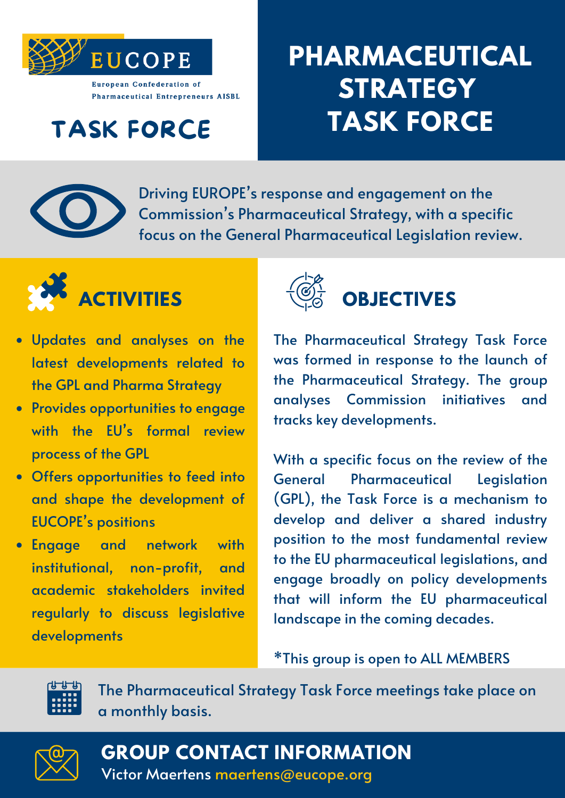

## TASK FORCE

## **PHARMACEUTICAL STRATEGY TASK FORCE**



Driving EUROPE' s response and engagement on the Commission ' s Pharmaceutical Strategy, with a specific focus on the General Pharmaceutical Legislation review.



- Updates and analyses on the latest developments related to the GPL and Pharma Strategy
- Provides opportunities to engage with the EU' s formal review process of the GPL
- Offers opportunities to feed into and shape the development of EUCOPE' s positions
- Engage and network with institutional, non-profit, and academic stakeholders invited regularly to discuss legislative developments



The Pharmaceutical Strategy Task Force was formed in response to the launch of the Pharmaceutical Strategy. The group analyses Commission initiatives and tracks key developments.

With a specific focus on the review of the General Pharmaceutical Legislation (GPL), the Task Force is a mechanism to develop and deliver a shared industry position to the most fundamental review to the EU pharmaceutical legislations, and engage broadly on policy developments that will inform the EU pharmaceutical landscape in the coming decades.

\*This group is open to ALL MEMBERS



The Pharmaceutical Strategy Task Force meetings take place on a monthly basis.



**GROUP CONTACT INFORMATION** Victor Maertens maertens@eucope.org